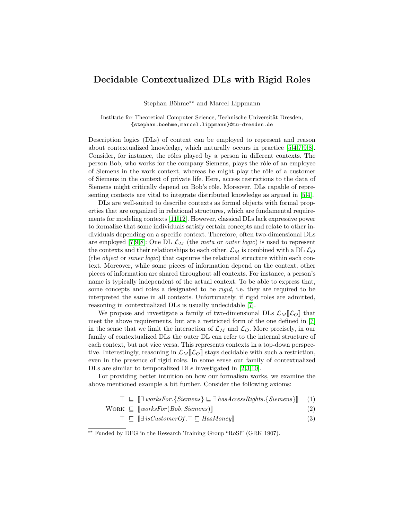## Decidable Contextualized DLs with Rigid Roles

Stephan Böhme<sup>\*\*</sup> and Marcel Lippmann

Institute for Theoretical Computer Science, Technische Universität Dresden, {stephan.boehme,marcel.lippmann}@tu-dresden.de

Description logics (DLs) of context can be employed to represent and reason about contextualized knowledge, which naturally occurs in practice [\[5,](#page-3-0)[4,](#page-3-1)[7,](#page-3-2)[9,](#page-3-3)[8\]](#page-3-4). Consider, for instance, the rôles played by a person in different contexts. The person Bob, who works for the company Siemens, plays the rôle of an employee of Siemens in the work context, whereas he might play the rôle of a customer of Siemens in the context of private life. Here, access restrictions to the data of Siemens might critically depend on Bob's rôle. Moreover, DLs capable of representing contexts are vital to integrate distributed knowledge as argued in [\[5,](#page-3-0)[4\]](#page-3-1).

DLs are well-suited to describe contexts as formal objects with formal properties that are organized in relational structures, which are fundamental requirements for modeling contexts [\[11,](#page-3-5)[12\]](#page-3-6). However, classical DLs lack expressive power to formalize that some individuals satisfy certain concepts and relate to other individuals depending on a specific context. Therefore, often two-dimensional DLs are employed [\[7,](#page-3-2)[9,](#page-3-3)[8\]](#page-3-4): One DL  $\mathcal{L}_M$  (the meta or *outer logic*) is used to represent the contexts and their relationships to each other.  $\mathcal{L}_M$  is combined with a DL  $\mathcal{L}_O$ (the object or inner logic) that captures the relational structure within each context. Moreover, while some pieces of information depend on the context, other pieces of information are shared throughout all contexts. For instance, a person's name is typically independent of the actual context. To be able to express that, some concepts and roles a designated to be *rigid*, i.e. they are required to be interpreted the same in all contexts. Unfortunately, if rigid roles are admitted, reasoning in contextualized DLs is usually undecidable [\[7\]](#page-3-2).

We propose and investigate a family of two-dimensional DLs  $\mathcal{L}_M[\mathcal{L}_O]$  that meet the above requirements, but are a restricted form of the one defined in [\[7\]](#page-3-2) in the sense that we limit the interaction of  $\mathcal{L}_M$  and  $\mathcal{L}_O$ . More precisely, in our family of contextualized DLs the outer DL can refer to the internal structure of each context, but not vice versa. This represents contexts in a top-down perspective. Interestingly, reasoning in  $\mathcal{L}_M[\mathcal{L}_O]$  stays decidable with such a restriction, even in the presence of rigid roles. In some sense our family of contextualized DLs are similar to temporalized DLs investigated in [\[2](#page-3-7)[,3,](#page-3-8)[10\]](#page-3-9).

For providing better intuition on how our formalism works, we examine the above mentioned example a bit further. Consider the following axioms:

$$
\top \sqsubseteq [\exists \text{ worksFor.} \{ \text{Siemens} \} \sqsubseteq \exists \text{ hasAccessRights.} \{ \text{Siemens} \} ] \tag{1}
$$

$$
WORK \subseteq [worksFor(Bob, Siemens)]
$$
\n
$$
= \mathbb{F} \times \mathbb{F} \times \mathbb{F} \times \mathbb{F} \times \mathbb{F} \times \mathbb{F} \times \mathbb{F} \times \mathbb{F} \times \mathbb{F} \times \mathbb{F} \times \mathbb{F} \times \mathbb{F} \times \mathbb{F} \times \mathbb{F} \times \mathbb{F} \times \mathbb{F} \times \mathbb{F} \times \mathbb{F} \times \mathbb{F} \times \mathbb{F} \times \mathbb{F} \times \mathbb{F} \times \mathbb{F} \times \mathbb{F} \times \mathbb{F} \times \mathbb{F} \times \mathbb{F} \times \mathbb{F} \times \mathbb{F} \times \mathbb{F} \times \mathbb{F} \times \mathbb{F} \times \mathbb{F} \times \mathbb{F} \times \mathbb{F} \times \mathbb{F} \times \mathbb{F} \times \mathbb{F} \times \mathbb{F} \times \mathbb{F} \times \mathbb{F} \times \mathbb{F} \times \mathbb{F} \times \mathbb{F} \times \mathbb{F} \times \mathbb{F} \times \mathbb{F} \times \mathbb{F} \times \mathbb{F} \times \mathbb{F} \times \mathbb{F} \times \mathbb{F} \times \mathbb{F} \times \mathbb{F} \times \mathbb{F} \times \mathbb{F} \times \mathbb{F} \times \mathbb{F} \times \mathbb{F} \times \mathbb{F} \times \mathbb{F} \times \mathbb{F} \times \mathbb{F} \times \mathbb{F} \times \mathbb{F} \times \mathbb{F} \times \mathbb{F} \times \mathbb{F} \times \mathbb{F} \times \mathbb{F} \times \mathbb{F} \times \mathbb{F} \times \mathbb{F} \times \mathbb{F} \times \mathbb{F} \times \mathbb{F} \times \mathbb{F} \times \mathbb{F} \times \mathbb{F} \times \mathbb{F} \times \mathbb{F} \times \mathbb{F} \times \mathbb{F} \times \mathbb{F} \times \mathbb{F} \times \mathbb{F} \times \mathbb{F} \times \mathbb{F} \times \mathbb{F} \times \mathbb{F} \times \mathbb{F} \times \mathbb{F} \
$$

$$
\top \sqsubseteq [\exists \ is CustomerOf. \top \sqsubseteq HasMoney]] \tag{3}
$$

<sup>\*\*</sup> Funded by DFG in the Research Training Group "RoSI" (GRK 1907).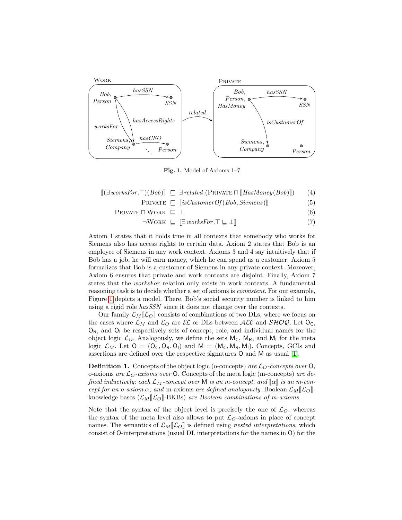

<span id="page-1-0"></span>Fig. 1. Model of Axioms 1–7

$$
[(\exists \text{ worksFor.}\top)(Bob)] \equiv \exists \text{ related.}(PRIVATE \sqcap [HasMoney(Bob)]) \qquad (4)
$$

$$
PRIVATE \subseteq [isCustomerOf(Bob, Siemens)] \tag{5}
$$

$$
P\n RIVATE \sqcap \text{WORK} \sqsubseteq \bot
$$
\n
$$
(6)
$$

$$
\neg \text{Work} \subseteq \llbracket \exists \text{ worksFor.} \top \sqsubseteq \bot \rrbracket \tag{7}
$$

Axiom 1 states that it holds true in all contexts that somebody who works for Siemens also has access rights to certain data. Axiom 2 states that Bob is an employee of Siemens in any work context. Axioms 3 and 4 say intuitively that if Bob has a job, he will earn money, which he can spend as a customer. Axiom 5 formalizes that Bob is a customer of Siemens in any private context. Moreover, Axiom 6 ensures that private and work contexts are disjoint. Finally, Axiom 7 states that the worksFor relation only exists in work contexts. A fundamental reasoning task is to decide whether a set of axioms is consistent. For our example, Figure [1](#page-1-0) depicts a model. There, Bob's social security number is linked to him using a rigid role hasSSN since it does not change over the contexts.

Our family  $\mathcal{L}_{M}[\mathcal{L}_{\Omega}]$  consists of combinations of two DLs, where we focus on the cases where  $\mathcal{L}_M$  and  $\mathcal{L}_O$  are  $\mathcal{EL}$  or DLs between  $\mathcal{ALC}$  and  $\mathcal{SHOQ}$ . Let  $O_C$ ,  $O_R$ , and  $O_I$  be respectively sets of concept, role, and individual names for the object logic  $\mathcal{L}_O$ . Analogously, we define the sets  $M_C$ ,  $M_R$ , and  $M_I$  for the meta logic  $\mathcal{L}_M$ . Let  $O = (O_C, O_R, O_I)$  and  $M = (M_C, M_R, M_I)$ . Concepts, GCIs and assertions are defined over the respective signatures O and M as usual [\[1\]](#page-3-10).

**Definition 1.** Concepts of the object logic (o-concepts) are  $\mathcal{L}_O$ -concepts over  $\mathsf{O}$ ; o-axioms are  $\mathcal{L}_O$ -axioms over O. Concepts of the meta logic (m-concepts) are defined inductively: each  $\mathcal{L}_M$ -concept over M is an m-concept, and  $\llbracket \alpha \rrbracket$  is an m-concept for an o-axiom  $\alpha$ ; and m-axioms are defined analogously. Boolean  $\mathcal{L}_M[\![\mathcal{L}_O]\!]$ knowledge bases  $(\mathcal{L}_M|\mathcal{L}_O]$ -BKBs) are Boolean combinations of m-axioms.

Note that the syntax of the object level is precisely the one of  $\mathcal{L}_O$ , whereas the syntax of the meta level also allows to put  $\mathcal{L}_O$ -axioms in place of concept names. The semantics of  $\mathcal{L}_M[\![\mathcal{L}_O]\!]$  is defined using nested interpretations, which consist of O-interpretations (usual DL interpretations for the names in O) for the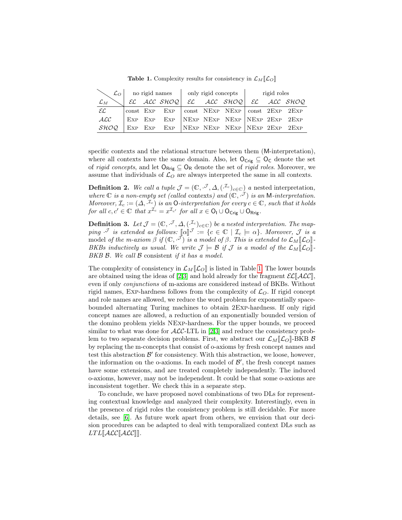|                 |  |  |  | $\bigcup$ $\mathcal{L}_O$   no rigid names   only rigid concepts |  |                                                   | rigid roles |  |  |
|-----------------|--|--|--|------------------------------------------------------------------|--|---------------------------------------------------|-------------|--|--|
| $\mathcal{L}_M$ |  |  |  |                                                                  |  | $EC$ ALC SHOQ $EC$ ALC SHOQ $EC$ ALC SHOQ         |             |  |  |
| $\mathcal{EL}$  |  |  |  |                                                                  |  | const Exp Exp   const NExp NExp   const 2Exp 2Exp |             |  |  |
| ACC             |  |  |  |                                                                  |  | EXP EXP EXP NEXP NEXP NEXP NEXP 2EXP 2EXP         |             |  |  |
| SHOO            |  |  |  |                                                                  |  | EXP EXP EXP NEXP NEXP NEXP NEXP 2EXP 2EXP         |             |  |  |

<span id="page-2-0"></span>**Table 1.** Complexity results for consistency in  $\mathcal{L}_M[\![\mathcal{L}_O]\!]$ 

specific contexts and the relational structure between them (M-interpretation), where all contexts have the same domain. Also, let  $O_{\text{Crig}} \subseteq O_{\text{C}}$  denote the set of *rigid concepts*, and let  $O_{\text{Rrig}} \subseteq O_R$  denote the set of *rigid roles*. Moreover, we assume that individuals of  $\mathcal{L}_O$  are always interpreted the same in all contexts.

**Definition 2.** We call a tuple  $\mathcal{J} = (\mathbb{C}, \mathcal{J}, \Delta, (\mathcal{I}_c)_{c \in \mathbb{C}})$  a nested interpretation, where  $\mathbb C$  is a non-empty set (called contexts) and  $(\mathbb C, \mathcal{I})$  is an M-interpretation. Moreover,  $\mathcal{I}_c := (\Delta, \mathcal{I}_c)$  is an O-interpretation for every  $c \in \mathbb{C}$ , such that it holds for all  $c, c' \in \mathbb{C}$  that  $x^{\mathcal{I}_c} = x^{\mathcal{I}_{c'}}$  for all  $x \in \mathsf{O}_{\mathsf{I}} \cup \mathsf{O}_{\mathsf{Crig}} \cup \mathsf{O}_{\mathsf{Rrig}}$ .

**Definition 3.** Let  $\mathcal{J} = (\mathbb{C}, \mathcal{J}, \Delta, (\mathcal{I}_c)_{c \in \mathbb{C}})$  be a nested interpretation. The mapping  $\mathcal{F}$  is extended as follows:  $[\![\alpha]\!]^{\mathcal{J}} := \{c \in \mathbb{C} \mid \mathcal{I}_c \models \alpha\}$ . Moreover,  $\mathcal{J}$  is a model of the m extended if  $(\mathcal{J}_c, \mathbb{I})$ model of the m-axiom  $\beta$  if  $(\mathbb{C}, \tilde{\mathcal{F}})$  is a model of  $\beta$ . This is extended to  $\mathcal{L}_M[\mathcal{L}_O]$ -<br>RKRe inductively as your We write  $\mathcal{I} \models \mathcal{R}$  if  $\mathcal{I}$  is a model of the  $\mathcal{L}_{\mathcal{F}}[\mathcal{L}_\rho]$ BKBs inductively as usual. We write  $\mathcal{J} \models \mathcal{B}$  if  $\mathcal{J}$  is a model of the  $\mathcal{L}_M[\![\mathcal{L}_O]\!]$ . BKB  $\beta$ . We call  $\beta$  consistent if it has a model.

The complexity of consistency in  $\mathcal{L}_M[\mathcal{L}_O]$  is listed in Table [1.](#page-2-0) The lower bounds are obtained using the ideas of [\[2,](#page-3-7)[3\]](#page-3-8) and hold already for the fragment  $\mathcal{EL}[\mathcal{ALC}],$ even if only conjunctions of m-axioms are considered instead of BKBs. Without rigid names, Exp-hardness follows from the complexity of  $\mathcal{L}_O$ . If rigid concept and role names are allowed, we reduce the word problem for exponentially spacebounded alternating Turing machines to obtain 2Exp-hardness. If only rigid concept names are allowed, a reduction of an exponentially bounded version of the domino problem yields NExp-hardness. For the upper bounds, we proceed similar to what was done for  $\text{ALC-LTL}$  in [\[2,](#page-3-7)[3\]](#page-3-8) and reduce the consistency problem to two separate decision problems. First, we abstract our  $\mathcal{L}_M[\![\mathcal{L}_O]\!]$ -BKB  $\mathcal{B}$ by replacing the m-concepts that consist of o-axioms by fresh concept names and test this abstraction  $\mathcal{B}'$  for consistency. With this abstraction, we loose, however, the information on the o-axioms. In each model of  $\mathcal{B}'$ , the fresh concept names have some extensions, and are treated completely independently. The induced o-axioms, however, may not be independent. It could be that some o-axioms are inconsistent together. We check this in a separate step.

To conclude, we have proposed novel combinations of two DLs for representing contextual knowledge and analyzed their complexity. Interestingly, even in the presence of rigid roles the consistency problem is still decidable. For more details, see [\[6\]](#page-3-11). As future work apart from others, we envision that our decision procedures can be adapted to deal with temporalized context DLs such as  $LTL\llbracket\mathcal{ALC}\llbracket\mathcal{ALC}\rrbracket.$